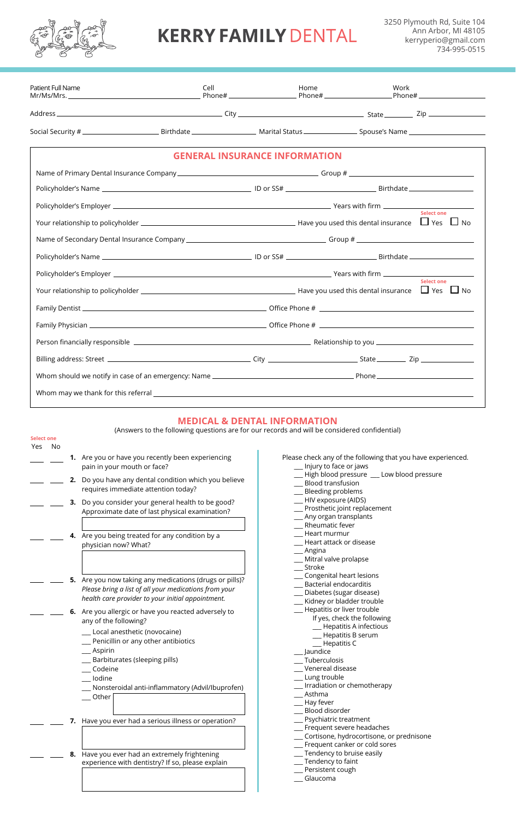## **KERRY FAMILY DENTAL**

3250 Plymouth Rd, Suite 104 Ann Arbor, MI 48105 kerryperio@gmail.com 734-995-0515

| Patient Full Name |                                                                                                                                                                                                                                                                                                                                                                  | Cell                                 | Home                                                                                                                                                                                                                                                                                                                       | Work                                      |                   |
|-------------------|------------------------------------------------------------------------------------------------------------------------------------------------------------------------------------------------------------------------------------------------------------------------------------------------------------------------------------------------------------------|--------------------------------------|----------------------------------------------------------------------------------------------------------------------------------------------------------------------------------------------------------------------------------------------------------------------------------------------------------------------------|-------------------------------------------|-------------------|
|                   |                                                                                                                                                                                                                                                                                                                                                                  |                                      |                                                                                                                                                                                                                                                                                                                            |                                           |                   |
|                   |                                                                                                                                                                                                                                                                                                                                                                  |                                      |                                                                                                                                                                                                                                                                                                                            |                                           |                   |
|                   |                                                                                                                                                                                                                                                                                                                                                                  | <b>GENERAL INSURANCE INFORMATION</b> |                                                                                                                                                                                                                                                                                                                            |                                           |                   |
|                   |                                                                                                                                                                                                                                                                                                                                                                  |                                      |                                                                                                                                                                                                                                                                                                                            |                                           |                   |
|                   |                                                                                                                                                                                                                                                                                                                                                                  |                                      |                                                                                                                                                                                                                                                                                                                            |                                           |                   |
|                   |                                                                                                                                                                                                                                                                                                                                                                  |                                      |                                                                                                                                                                                                                                                                                                                            |                                           |                   |
|                   |                                                                                                                                                                                                                                                                                                                                                                  |                                      |                                                                                                                                                                                                                                                                                                                            |                                           | <b>Select one</b> |
|                   |                                                                                                                                                                                                                                                                                                                                                                  |                                      |                                                                                                                                                                                                                                                                                                                            |                                           |                   |
|                   |                                                                                                                                                                                                                                                                                                                                                                  |                                      |                                                                                                                                                                                                                                                                                                                            |                                           |                   |
|                   |                                                                                                                                                                                                                                                                                                                                                                  |                                      |                                                                                                                                                                                                                                                                                                                            |                                           |                   |
|                   |                                                                                                                                                                                                                                                                                                                                                                  |                                      |                                                                                                                                                                                                                                                                                                                            |                                           | <b>Select one</b> |
|                   |                                                                                                                                                                                                                                                                                                                                                                  |                                      |                                                                                                                                                                                                                                                                                                                            |                                           |                   |
|                   |                                                                                                                                                                                                                                                                                                                                                                  |                                      |                                                                                                                                                                                                                                                                                                                            |                                           |                   |
|                   |                                                                                                                                                                                                                                                                                                                                                                  |                                      |                                                                                                                                                                                                                                                                                                                            |                                           |                   |
|                   |                                                                                                                                                                                                                                                                                                                                                                  |                                      |                                                                                                                                                                                                                                                                                                                            |                                           |                   |
|                   |                                                                                                                                                                                                                                                                                                                                                                  |                                      |                                                                                                                                                                                                                                                                                                                            |                                           |                   |
|                   |                                                                                                                                                                                                                                                                                                                                                                  |                                      |                                                                                                                                                                                                                                                                                                                            |                                           |                   |
|                   | pain in your mouth or face?<br>2. Do you have any dental condition which you believe<br>requires immediate attention today?<br>3. Do you consider your general health to be good?<br>Approximate date of last physical examination?<br>4. Are you being treated for any condition by a                                                                           |                                      | Injury to face or jaws<br>Blood transfusion<br>Bleeding problems<br>HIV exposure (AIDS)<br>Prosthetic joint replacement<br>Any organ transplants<br>Rheumatic fever<br>Heart murmur                                                                                                                                        | High blood pressure __ Low blood pressure |                   |
|                   | physician now? What?<br>5. Are you now taking any medications (drugs or pills)?<br>Please bring a list of all your medications from your<br>health care provider to your initial appointment.<br>6. Are you allergic or have you reacted adversely to<br>any of the following?<br>Local anesthetic (novocaine)<br>Penicillin or any other antibiotics<br>Aspirin |                                      | Heart attack or disease<br>Angina<br>Mitral valve prolapse<br>Stroke<br>Congenital heart lesions<br>Bacterial endocarditis<br>Diabetes (sugar disease)<br>Kidney or bladder trouble<br>Hepatitis or liver trouble<br>If yes, check the following<br>Hepatitis A infectious<br>Hepatitis B serum<br>Hepatitis C<br>Jaundice |                                           |                   |
|                   | Barbiturates (sleeping pills)<br>Codeine<br>lodine<br>Nonsteroidal anti-inflammatory (Advil/Ibuprofen)<br>Other<br>7. Have you ever had a serious illness or operation?                                                                                                                                                                                          |                                      | Tuberculosis<br>Venereal disease<br>Lung trouble<br>Irradiation or chemotherapy<br>Asthma<br>Hay fever<br>Blood disorder                                                                                                                                                                                                   | Psychiatric treatment                     |                   |